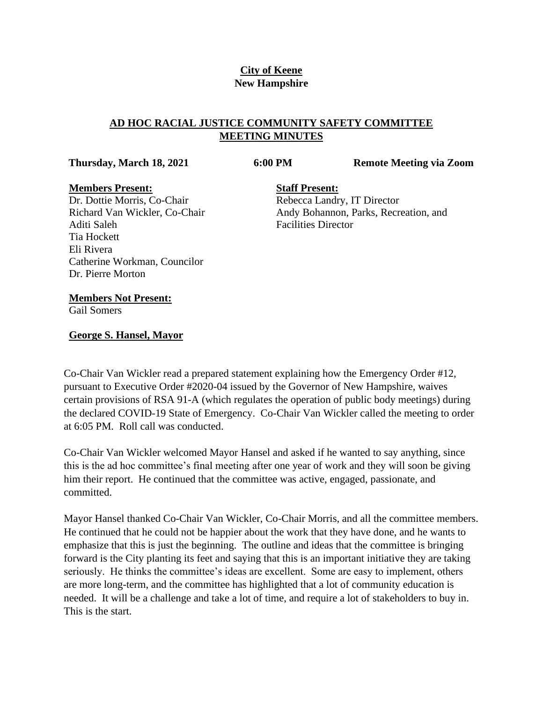# **City of Keene New Hampshire**

# **AD HOC RACIAL JUSTICE COMMUNITY SAFETY COMMITTEE MEETING MINUTES**

**Thursday, March 18, 2021 6:00 PM Remote Meeting via Zoom**

#### **Members Present:**

Dr. Dottie Morris, Co-Chair Richard Van Wickler, Co-Chair Aditi Saleh Tia Hockett Eli Rivera Catherine Workman, Councilor Dr. Pierre Morton

**Staff Present:** Rebecca Landry, IT Director Andy Bohannon, Parks, Recreation, and Facilities Director

#### **Members Not Present:**

Gail Somers

### **George S. Hansel, Mayor**

Co-Chair Van Wickler read a prepared statement explaining how the Emergency Order #12, pursuant to Executive Order #2020-04 issued by the Governor of New Hampshire, waives certain provisions of RSA 91-A (which regulates the operation of public body meetings) during the declared COVID-19 State of Emergency. Co-Chair Van Wickler called the meeting to order at 6:05 PM. Roll call was conducted.

Co-Chair Van Wickler welcomed Mayor Hansel and asked if he wanted to say anything, since this is the ad hoc committee's final meeting after one year of work and they will soon be giving him their report. He continued that the committee was active, engaged, passionate, and committed.

Mayor Hansel thanked Co-Chair Van Wickler, Co-Chair Morris, and all the committee members. He continued that he could not be happier about the work that they have done, and he wants to emphasize that this is just the beginning. The outline and ideas that the committee is bringing forward is the City planting its feet and saying that this is an important initiative they are taking seriously. He thinks the committee's ideas are excellent. Some are easy to implement, others are more long-term, and the committee has highlighted that a lot of community education is needed. It will be a challenge and take a lot of time, and require a lot of stakeholders to buy in. This is the start.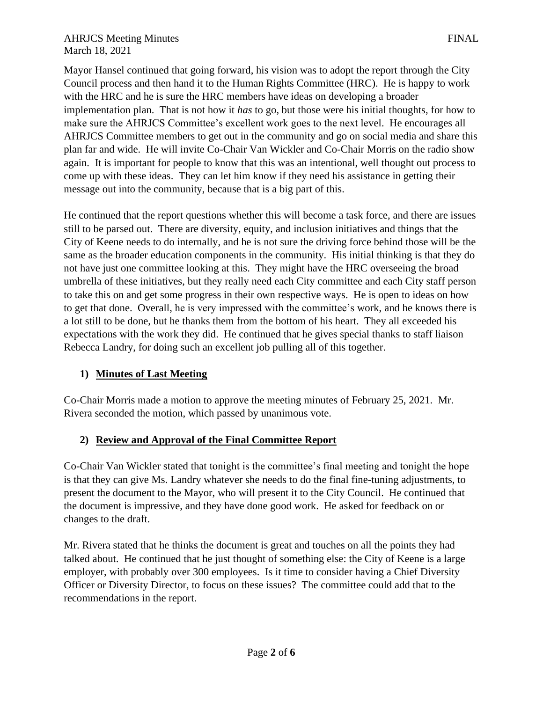#### AHRJCS Meeting Minutes **FINAL** March 18, 2021

Mayor Hansel continued that going forward, his vision was to adopt the report through the City Council process and then hand it to the Human Rights Committee (HRC). He is happy to work with the HRC and he is sure the HRC members have ideas on developing a broader implementation plan. That is not how it *has* to go, but those were his initial thoughts, for how to make sure the AHRJCS Committee's excellent work goes to the next level. He encourages all AHRJCS Committee members to get out in the community and go on social media and share this plan far and wide. He will invite Co-Chair Van Wickler and Co-Chair Morris on the radio show again. It is important for people to know that this was an intentional, well thought out process to come up with these ideas. They can let him know if they need his assistance in getting their message out into the community, because that is a big part of this.

He continued that the report questions whether this will become a task force, and there are issues still to be parsed out. There are diversity, equity, and inclusion initiatives and things that the City of Keene needs to do internally, and he is not sure the driving force behind those will be the same as the broader education components in the community. His initial thinking is that they do not have just one committee looking at this. They might have the HRC overseeing the broad umbrella of these initiatives, but they really need each City committee and each City staff person to take this on and get some progress in their own respective ways. He is open to ideas on how to get that done. Overall, he is very impressed with the committee's work, and he knows there is a lot still to be done, but he thanks them from the bottom of his heart. They all exceeded his expectations with the work they did. He continued that he gives special thanks to staff liaison Rebecca Landry, for doing such an excellent job pulling all of this together.

## **1) Minutes of Last Meeting**

Co-Chair Morris made a motion to approve the meeting minutes of February 25, 2021. Mr. Rivera seconded the motion, which passed by unanimous vote.

## **2) Review and Approval of the Final Committee Report**

Co-Chair Van Wickler stated that tonight is the committee's final meeting and tonight the hope is that they can give Ms. Landry whatever she needs to do the final fine-tuning adjustments, to present the document to the Mayor, who will present it to the City Council. He continued that the document is impressive, and they have done good work. He asked for feedback on or changes to the draft.

Mr. Rivera stated that he thinks the document is great and touches on all the points they had talked about. He continued that he just thought of something else: the City of Keene is a large employer, with probably over 300 employees. Is it time to consider having a Chief Diversity Officer or Diversity Director, to focus on these issues? The committee could add that to the recommendations in the report.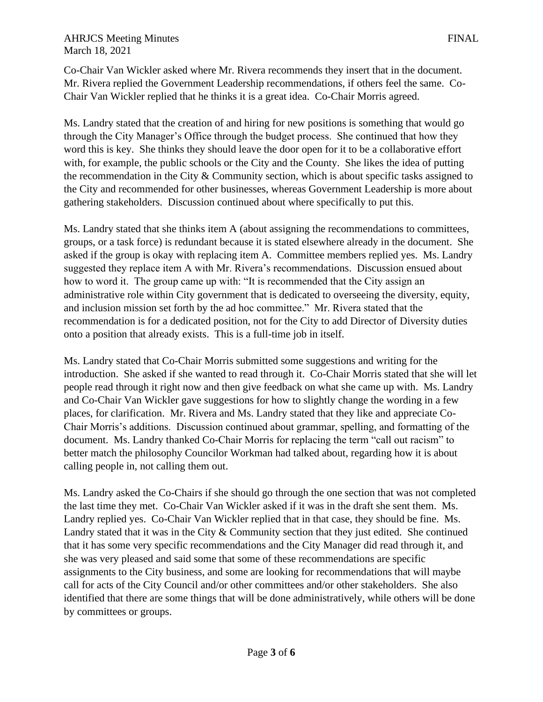Co-Chair Van Wickler asked where Mr. Rivera recommends they insert that in the document. Mr. Rivera replied the Government Leadership recommendations, if others feel the same. Co-Chair Van Wickler replied that he thinks it is a great idea. Co-Chair Morris agreed.

Ms. Landry stated that the creation of and hiring for new positions is something that would go through the City Manager's Office through the budget process. She continued that how they word this is key. She thinks they should leave the door open for it to be a collaborative effort with, for example, the public schools or the City and the County. She likes the idea of putting the recommendation in the City & Community section, which is about specific tasks assigned to the City and recommended for other businesses, whereas Government Leadership is more about gathering stakeholders. Discussion continued about where specifically to put this.

Ms. Landry stated that she thinks item A (about assigning the recommendations to committees, groups, or a task force) is redundant because it is stated elsewhere already in the document. She asked if the group is okay with replacing item A. Committee members replied yes. Ms. Landry suggested they replace item A with Mr. Rivera's recommendations. Discussion ensued about how to word it. The group came up with: "It is recommended that the City assign an administrative role within City government that is dedicated to overseeing the diversity, equity, and inclusion mission set forth by the ad hoc committee." Mr. Rivera stated that the recommendation is for a dedicated position, not for the City to add Director of Diversity duties onto a position that already exists. This is a full-time job in itself.

Ms. Landry stated that Co-Chair Morris submitted some suggestions and writing for the introduction. She asked if she wanted to read through it. Co-Chair Morris stated that she will let people read through it right now and then give feedback on what she came up with. Ms. Landry and Co-Chair Van Wickler gave suggestions for how to slightly change the wording in a few places, for clarification. Mr. Rivera and Ms. Landry stated that they like and appreciate Co-Chair Morris's additions. Discussion continued about grammar, spelling, and formatting of the document. Ms. Landry thanked Co-Chair Morris for replacing the term "call out racism" to better match the philosophy Councilor Workman had talked about, regarding how it is about calling people in, not calling them out.

Ms. Landry asked the Co-Chairs if she should go through the one section that was not completed the last time they met. Co-Chair Van Wickler asked if it was in the draft she sent them. Ms. Landry replied yes. Co-Chair Van Wickler replied that in that case, they should be fine. Ms. Landry stated that it was in the City  $&$  Community section that they just edited. She continued that it has some very specific recommendations and the City Manager did read through it, and she was very pleased and said some that some of these recommendations are specific assignments to the City business, and some are looking for recommendations that will maybe call for acts of the City Council and/or other committees and/or other stakeholders. She also identified that there are some things that will be done administratively, while others will be done by committees or groups.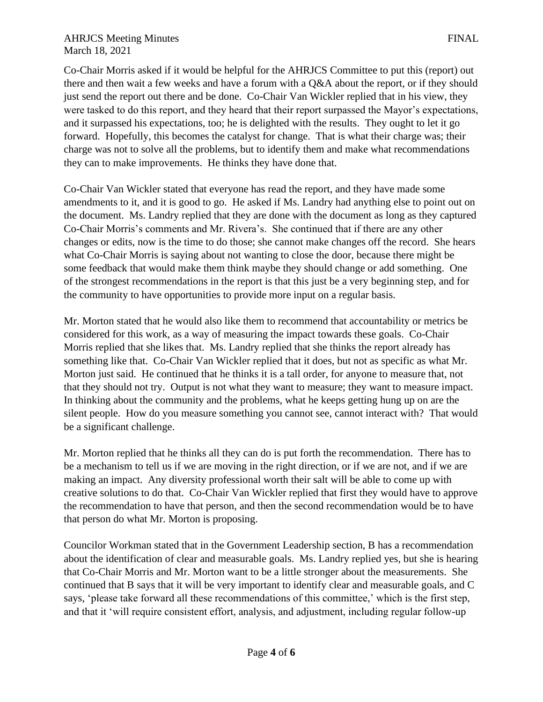### AHRJCS Meeting Minutes **FINAL** March 18, 2021

Co-Chair Morris asked if it would be helpful for the AHRJCS Committee to put this (report) out there and then wait a few weeks and have a forum with a Q&A about the report, or if they should just send the report out there and be done. Co-Chair Van Wickler replied that in his view, they were tasked to do this report, and they heard that their report surpassed the Mayor's expectations, and it surpassed his expectations, too; he is delighted with the results. They ought to let it go forward. Hopefully, this becomes the catalyst for change. That is what their charge was; their charge was not to solve all the problems, but to identify them and make what recommendations they can to make improvements. He thinks they have done that.

Co-Chair Van Wickler stated that everyone has read the report, and they have made some amendments to it, and it is good to go. He asked if Ms. Landry had anything else to point out on the document. Ms. Landry replied that they are done with the document as long as they captured Co-Chair Morris's comments and Mr. Rivera's. She continued that if there are any other changes or edits, now is the time to do those; she cannot make changes off the record. She hears what Co-Chair Morris is saying about not wanting to close the door, because there might be some feedback that would make them think maybe they should change or add something. One of the strongest recommendations in the report is that this just be a very beginning step, and for the community to have opportunities to provide more input on a regular basis.

Mr. Morton stated that he would also like them to recommend that accountability or metrics be considered for this work, as a way of measuring the impact towards these goals. Co-Chair Morris replied that she likes that. Ms. Landry replied that she thinks the report already has something like that. Co-Chair Van Wickler replied that it does, but not as specific as what Mr. Morton just said. He continued that he thinks it is a tall order, for anyone to measure that, not that they should not try. Output is not what they want to measure; they want to measure impact. In thinking about the community and the problems, what he keeps getting hung up on are the silent people. How do you measure something you cannot see, cannot interact with? That would be a significant challenge.

Mr. Morton replied that he thinks all they can do is put forth the recommendation. There has to be a mechanism to tell us if we are moving in the right direction, or if we are not, and if we are making an impact. Any diversity professional worth their salt will be able to come up with creative solutions to do that. Co-Chair Van Wickler replied that first they would have to approve the recommendation to have that person, and then the second recommendation would be to have that person do what Mr. Morton is proposing.

Councilor Workman stated that in the Government Leadership section, B has a recommendation about the identification of clear and measurable goals. Ms. Landry replied yes, but she is hearing that Co-Chair Morris and Mr. Morton want to be a little stronger about the measurements. She continued that B says that it will be very important to identify clear and measurable goals, and C says, 'please take forward all these recommendations of this committee,' which is the first step, and that it 'will require consistent effort, analysis, and adjustment, including regular follow-up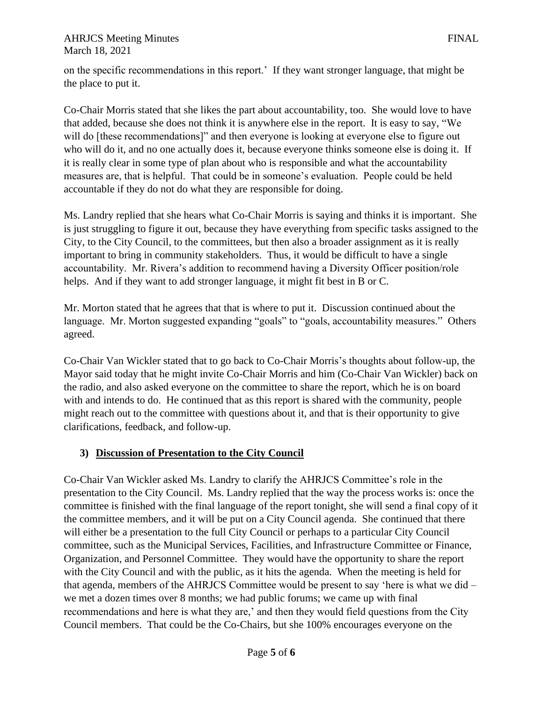on the specific recommendations in this report.' If they want stronger language, that might be the place to put it.

Co-Chair Morris stated that she likes the part about accountability, too. She would love to have that added, because she does not think it is anywhere else in the report. It is easy to say, "We will do [these recommendations]" and then everyone is looking at everyone else to figure out who will do it, and no one actually does it, because everyone thinks someone else is doing it. If it is really clear in some type of plan about who is responsible and what the accountability measures are, that is helpful. That could be in someone's evaluation. People could be held accountable if they do not do what they are responsible for doing.

Ms. Landry replied that she hears what Co-Chair Morris is saying and thinks it is important. She is just struggling to figure it out, because they have everything from specific tasks assigned to the City, to the City Council, to the committees, but then also a broader assignment as it is really important to bring in community stakeholders. Thus, it would be difficult to have a single accountability. Mr. Rivera's addition to recommend having a Diversity Officer position/role helps. And if they want to add stronger language, it might fit best in B or C.

Mr. Morton stated that he agrees that that is where to put it. Discussion continued about the language. Mr. Morton suggested expanding "goals" to "goals, accountability measures." Others agreed.

Co-Chair Van Wickler stated that to go back to Co-Chair Morris's thoughts about follow-up, the Mayor said today that he might invite Co-Chair Morris and him (Co-Chair Van Wickler) back on the radio, and also asked everyone on the committee to share the report, which he is on board with and intends to do. He continued that as this report is shared with the community, people might reach out to the committee with questions about it, and that is their opportunity to give clarifications, feedback, and follow-up.

# **3) Discussion of Presentation to the City Council**

Co-Chair Van Wickler asked Ms. Landry to clarify the AHRJCS Committee's role in the presentation to the City Council. Ms. Landry replied that the way the process works is: once the committee is finished with the final language of the report tonight, she will send a final copy of it the committee members, and it will be put on a City Council agenda. She continued that there will either be a presentation to the full City Council or perhaps to a particular City Council committee, such as the Municipal Services, Facilities, and Infrastructure Committee or Finance, Organization, and Personnel Committee. They would have the opportunity to share the report with the City Council and with the public, as it hits the agenda. When the meeting is held for that agenda, members of the AHRJCS Committee would be present to say 'here is what we did – we met a dozen times over 8 months; we had public forums; we came up with final recommendations and here is what they are,' and then they would field questions from the City Council members. That could be the Co-Chairs, but she 100% encourages everyone on the